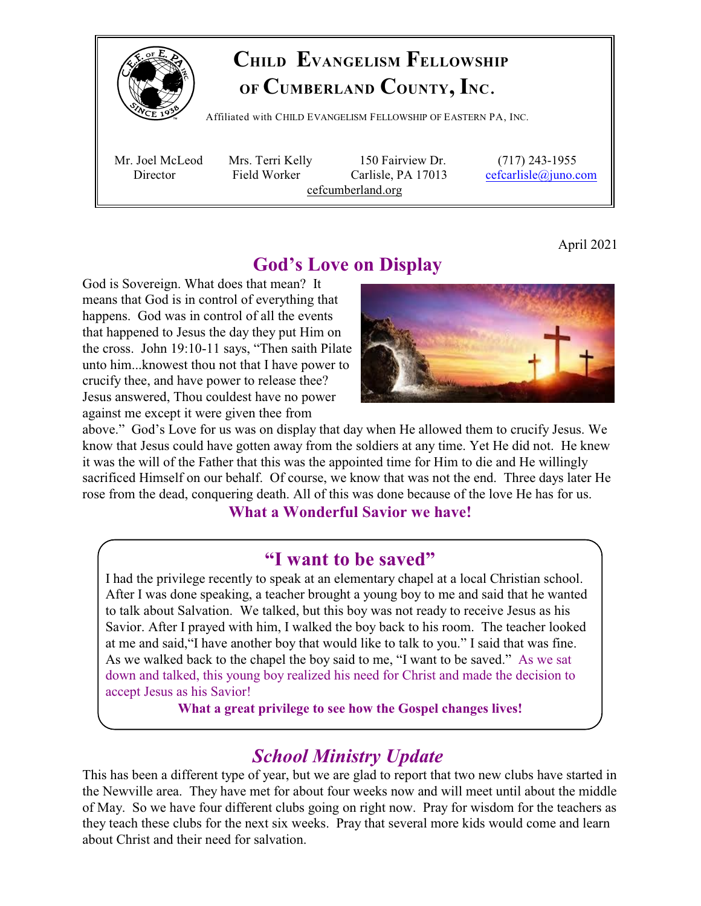

### **CHILD EVANGELISM FELLOWSHIP OF CUMBERLAND COUNTY, INC**.

Affiliated with <sup>C</sup>HILD <sup>E</sup>VANGELISM <sup>F</sup>ELLOWSHIP OF <sup>E</sup>ASTERN PA, <sup>I</sup>NC.

 Mr. Joel McLeod Mrs. Terri Kelly 150 Fairview Dr. (717) 243-1955 Director Field Worker Carlisle, PA 17013 [cefcarlisle@juno.com](mailto:cefcarlisle@juno.com) cefcumberland.org

April 2021

#### **God's Love on Display**

God is Sovereign. What does that mean? It means that God is in control of everything that happens. God was in control of all the events that happened to Jesus the day they put Him on the cross. John 19:10-11 says, "Then saith Pilate unto him...knowest thou not that I have power to crucify thee, and have power to release thee? Jesus answered, Thou couldest have no power against me except it were given thee from



above." God's Love for us was on display that day when He allowed them to crucify Jesus. We know that Jesus could have gotten away from the soldiers at any time. Yet He did not. He knew it was the will of the Father that this was the appointed time for Him to die and He willingly sacrificed Himself on our behalf. Of course, we know that was not the end. Three days later He rose from the dead, conquering death. All of this was done because of the love He has for us.

#### **What a Wonderful Savior we have!**

#### **"I want to be saved"**

I had the privilege recently to speak at an elementary chapel at a local Christian school. After I was done speaking, a teacher brought a young boy to me and said that he wanted to talk about Salvation. We talked, but this boy was not ready to receive Jesus as his Savior. After I prayed with him, I walked the boy back to his room. The teacher looked at me and said,"I have another boy that would like to talk to you." I said that was fine. As we walked back to the chapel the boy said to me, "I want to be saved." As we sat down and talked, this young boy realized his need for Christ and made the decision to accept Jesus as his Savior!

**What a great privilege to see how the Gospel changes lives!**

#### *School Ministry Update*

This has been a different type of year, but we are glad to report that two new clubs have started in the Newville area. They have met for about four weeks now and will meet until about the middle of May. So we have four different clubs going on right now. Pray for wisdom for the teachers as they teach these clubs for the next six weeks. Pray that several more kids would come and learn about Christ and their need for salvation.